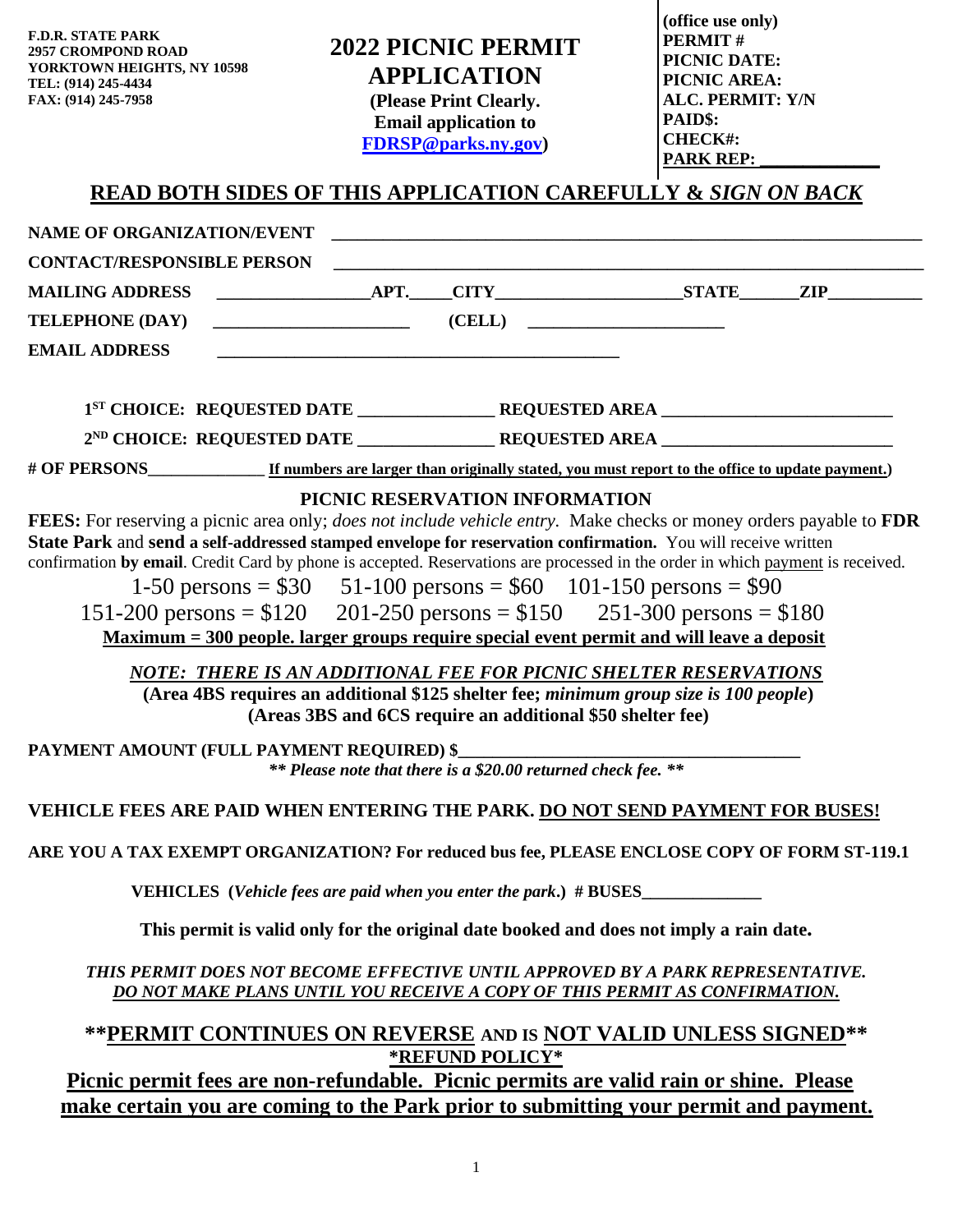**F.D.R. STATE PARK 2957 CROMPOND ROAD YORKTOWN HEIGHTS, NY 10598 TEL: (914) 245-4434 FAX: (914) 245-7958 2022 PICNIC PERMIT APPLICATION (Please Print Clearly. Email application to [FDRSP@parks.ny.gov\)](FDRSP@parks.ny.gov) (office use only) PERMIT # PICNIC DATE: PICNIC AREA: ALC. PERMIT: Y/N PAID\$: CHECK#: PARK REP: \_\_\_\_\_\_\_\_\_\_\_\_\_\_ READ BOTH SIDES OF THIS APPLICATION CAREFULLY &** *SIGN ON BACK* **NAME OF ORGANIZATION/EVENT CONTACT/RESPONSIBLE PERSON \_\_\_\_\_\_\_\_\_\_\_\_\_\_\_\_\_\_\_\_\_\_\_\_\_\_\_\_\_\_\_\_\_\_\_\_\_\_\_\_\_\_\_\_\_\_\_\_\_\_\_\_\_\_\_\_\_\_\_\_\_\_\_\_\_\_\_\_\_ MAILING ADDRESS \_\_\_\_\_\_\_\_\_\_\_\_\_\_\_\_\_\_APT.\_\_\_\_\_CITY\_\_\_\_\_\_\_\_\_\_\_\_\_\_\_\_\_\_\_\_\_\_STATE\_\_\_\_\_\_\_ZIP\_\_\_\_\_\_\_\_\_\_\_ TELEPHONE (DAY) \_\_\_\_\_\_\_\_\_\_\_\_\_\_\_\_\_\_\_\_\_\_\_ (CELL) \_\_\_\_\_\_\_\_\_\_\_\_\_\_\_\_\_\_\_\_\_\_\_ EMAIL ADDRESS 1 ST CHOICE: REQUESTED DATE \_\_\_\_\_\_\_\_\_\_\_\_\_\_\_\_ REQUESTED AREA \_\_\_\_\_\_\_\_\_\_\_\_\_\_\_\_\_\_\_\_\_\_\_\_\_\_\_ 2 ND CHOICE: REQUESTED DATE \_\_\_\_\_\_\_\_\_\_\_\_\_\_\_\_ REQUESTED AREA \_\_\_\_\_\_\_\_\_\_\_\_\_\_\_\_\_\_\_\_\_\_\_\_\_\_\_ # OF PERSONS\_\_\_\_\_\_\_\_\_\_\_\_\_\_\_ If numbers are larger than originally stated, you must report to the office to update payment.) PICNIC RESERVATION INFORMATION FEES:** For reserving a picnic area only; *does not include vehicle entry.* Make checks or money orders payable to **FDR State Park** and **send a self-addressed stamped envelope for reservation confirmation.** You will receive written confirmation **by email**. Credit Card by phone is accepted. Reservations are processed in the order in which payment is received. 1-50 persons =  $$30$  51-100 persons =  $$60$  101-150 persons = \$90 151-200 persons =  $$120$  201-250 persons = \$150 251-300 persons = \$180 **Maximum = 300 people. larger groups require special event permit and will leave a deposit** *NOTE: THERE IS AN ADDITIONAL FEE FOR PICNIC SHELTER RESERVATIONS* **(Area 4BS requires an additional \$125 shelter fee;** *minimum group size is 100 people***) (Areas 3BS and 6CS require an additional \$50 shelter fee)** PAYMENT AMOUNT (FULL PAYMENT REQUIRED) \$ *\*\* Please note that there is a \$20.00 returned check fee. \*\** **VEHICLE FEES ARE PAID WHEN ENTERING THE PARK. DO NOT SEND PAYMENT FOR BUSES! ARE YOU A TAX EXEMPT ORGANIZATION? For reduced bus fee, PLEASE ENCLOSE COPY OF FORM ST-119.1 VEHICLES (***Vehicle fees are paid when you enter the park***.) # BUSES\_\_\_\_\_\_\_\_\_\_\_\_\_\_ This permit is valid only for the original date booked and does not imply a rain date.** *THIS PERMIT DOES NOT BECOME EFFECTIVE UNTIL APPROVED BY A PARK REPRESENTATIVE. DO NOT MAKE PLANS UNTIL YOU RECEIVE A COPY OF THIS PERMIT AS CONFIRMATION.* **\*\*PERMIT CONTINUES ON REVERSE AND IS NOT VALID UNLESS SIGNED\*\* \*REFUND POLICY\* Picnic permit fees are non-refundable. Picnic permits are valid rain or shine. Please make certain you are coming to the Park prior to submitting your permit and payment.**